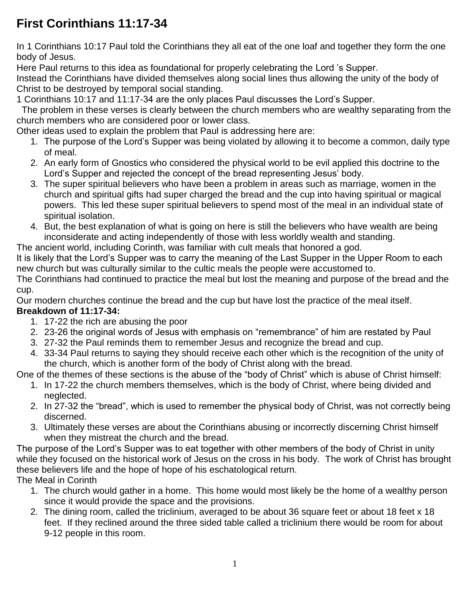# **First Corinthians 11:17-34**

In 1 Corinthians 10:17 Paul told the Corinthians they all eat of the one loaf and together they form the one body of Jesus.

Here Paul returns to this idea as foundational for properly celebrating the Lord 's Supper.

Instead the Corinthians have divided themselves along social lines thus allowing the unity of the body of Christ to be destroyed by temporal social standing.

1 Corinthians 10:17 and 11:17-34 are the only places Paul discusses the Lord's Supper.

The problem in these verses is clearly between the church members who are wealthy separating from the church members who are considered poor or lower class.

Other ideas used to explain the problem that Paul is addressing here are:

- 1. The purpose of the Lord's Supper was being violated by allowing it to become a common, daily type of meal.
- 2. An early form of Gnostics who considered the physical world to be evil applied this doctrine to the Lord's Supper and rejected the concept of the bread representing Jesus' body.
- 3. The super spiritual believers who have been a problem in areas such as marriage, women in the church and spiritual gifts had super charged the bread and the cup into having spiritual or magical powers. This led these super spiritual believers to spend most of the meal in an individual state of spiritual isolation.
- 4. But, the best explanation of what is going on here is still the believers who have wealth are being inconsiderate and acting independently of those with less worldly wealth and standing.

The ancient world, including Corinth, was familiar with cult meals that honored a god.

It is likely that the Lord's Supper was to carry the meaning of the Last Supper in the Upper Room to each new church but was culturally similar to the cultic meals the people were accustomed to.

The Corinthians had continued to practice the meal but lost the meaning and purpose of the bread and the cup.

Our modern churches continue the bread and the cup but have lost the practice of the meal itself. **Breakdown of 11:17-34:**

- 1. 17-22 the rich are abusing the poor
- 2. 23-26 the original words of Jesus with emphasis on "remembrance" of him are restated by Paul
- 3. 27-32 the Paul reminds them to remember Jesus and recognize the bread and cup.
- 4. 33-34 Paul returns to saying they should receive each other which is the recognition of the unity of the church, which is another form of the body of Christ along with the bread.

One of the themes of these sections is the abuse of the "body of Christ" which is abuse of Christ himself:

- 1. In 17-22 the church members themselves, which is the body of Christ, where being divided and neglected.
- 2. In 27-32 the "bread", which is used to remember the physical body of Christ, was not correctly being discerned.
- 3. Ultimately these verses are about the Corinthians abusing or incorrectly discerning Christ himself when they mistreat the church and the bread.

The purpose of the Lord's Supper was to eat together with other members of the body of Christ in unity while they focused on the historical work of Jesus on the cross in his body. The work of Christ has brought these believers life and the hope of hope of his eschatological return. The Meal in Corinth

- 1. The church would gather in a home. This home would most likely be the home of a wealthy person since it would provide the space and the provisions.
- 2. The dining room, called the triclinium, averaged to be about 36 square feet or about 18 feet x 18 feet. If they reclined around the three sided table called a triclinium there would be room for about 9-12 people in this room.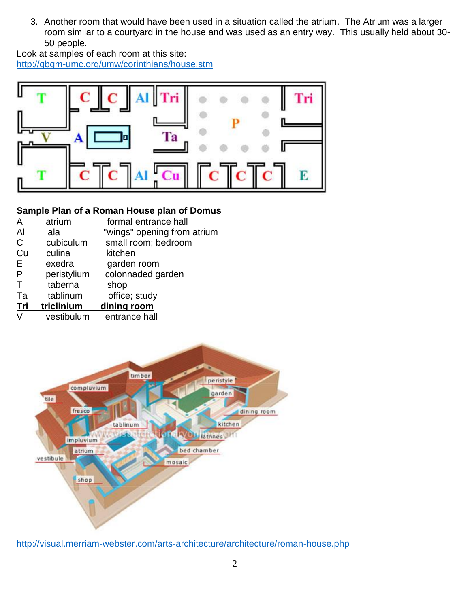3. Another room that would have been used in a situation called the atrium. The Atrium was a larger room similar to a courtyard in the house and was used as an entry way. This usually held about 30- 50 people.

Look at samples of each room at this site: <http://gbgm-umc.org/umw/corinthians/house.stm>



#### **Sample Plan of a Roman House plan of Domus**

| A            | atrium      | formal entrance hall        |
|--------------|-------------|-----------------------------|
| $\mathsf{A}$ | ala         | "wings" opening from atrium |
| $\mathsf{C}$ | cubiculum   | small room; bedroom         |
| Cu           | culina      | kitchen                     |
| E            | exedra      | garden room                 |
| $\mathsf{P}$ | peristylium | colonnaded garden           |
| Т            | taberna     | shop                        |
| Ta           | tablinum    | office; study               |
| Tri          | triclinium  | dining room                 |
| V            | vestibulum  | entrance hall               |
|              |             |                             |



<http://visual.merriam-webster.com/arts-architecture/architecture/roman-house.php>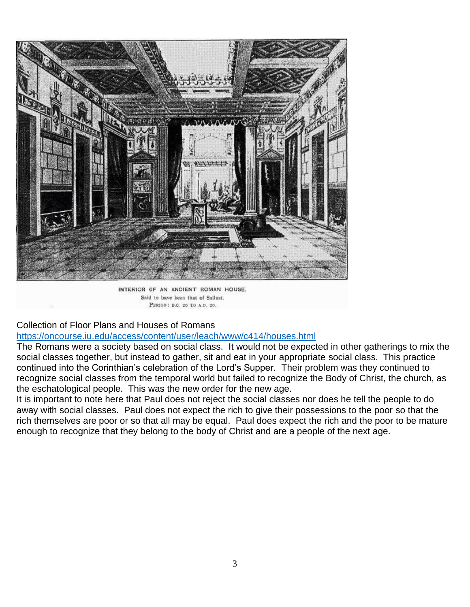

INTERIOR OF AN ANGIENT ROMAN HOUSE. Said to have been that of Sallust. PERIOD : B.C. 20 TO A.D. 20.

#### Collection of Floor Plans and Houses of Romans

<https://oncourse.iu.edu/access/content/user/leach/www/c414/houses.html>

The Romans were a society based on social class. It would not be expected in other gatherings to mix the social classes together, but instead to gather, sit and eat in your appropriate social class. This practice continued into the Corinthian's celebration of the Lord's Supper. Their problem was they continued to recognize social classes from the temporal world but failed to recognize the Body of Christ, the church, as the eschatological people. This was the new order for the new age.

It is important to note here that Paul does not reject the social classes nor does he tell the people to do away with social classes. Paul does not expect the rich to give their possessions to the poor so that the rich themselves are poor or so that all may be equal. Paul does expect the rich and the poor to be mature enough to recognize that they belong to the body of Christ and are a people of the next age.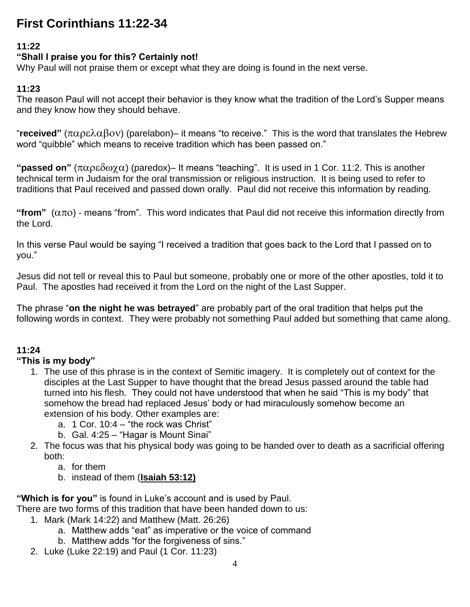## **First Corinthians 11:22-34**

## **11:22**

## **"Shall I praise you for this? Certainly not!**

Why Paul will not praise them or except what they are doing is found in the next verse.

#### **11:23**

The reason Paul will not accept their behavior is they know what the tradition of the Lord's Supper means and they know how they should behave.

"received" (παρελαβον) (parelabon)– it means "to receive." This is the word that translates the Hebrew word "quibble" which means to receive tradition which has been passed on."

"**passed on**" ( $\pi \alpha \beta \delta \omega \chi \alpha$ ) (paredox)– It means "teaching". It is used in 1 Cor. 11:2. This is another technical term in Judaism for the oral transmission or religious instruction. It is being used to refer to traditions that Paul received and passed down orally. Paul did not receive this information by reading.

"**from**"  $(\alpha \pi o)$  - means "from". This word indicates that Paul did not receive this information directly from the Lord.

In this verse Paul would be saying "I received a tradition that goes back to the Lord that I passed on to you."

Jesus did not tell or reveal this to Paul but someone, probably one or more of the other apostles, told it to Paul. The apostles had received it from the Lord on the night of the Last Supper.

The phrase "**on the night he was betrayed**" are probably part of the oral tradition that helps put the following words in context. They were probably not something Paul added but something that came along.

#### **11:24**

#### **"This is my body"**

- 1. The use of this phrase is in the context of Semitic imagery. It is completely out of context for the disciples at the Last Supper to have thought that the bread Jesus passed around the table had turned into his flesh. They could not have understood that when he said "This is my body" that somehow the bread had replaced Jesus' body or had miraculously somehow become an extension of his body. Other examples are:
	- a. 1 Cor. 10:4 "the rock was Christ"
	- b. Gal. 4:25 "Hagar is Mount Sinai"
- 2. The focus was that his physical body was going to be handed over to death as a sacrificial offering both:
	- a. for them
	- b. instead of them (**Isaiah 53:12)**

**"Which is for you"** is found in Luke's account and is used by Paul.

There are two forms of this tradition that have been handed down to us:

- 1. Mark (Mark 14:22) and Matthew (Matt. 26:26)
	- a. Matthew adds "eat" as imperative or the voice of command
	- b. Matthew adds "for the forgiveness of sins."
- 2. Luke (Luke 22:19) and Paul (1 Cor. 11:23)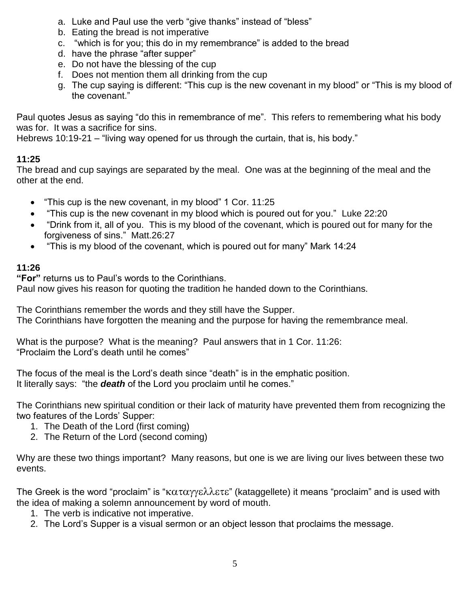- a. Luke and Paul use the verb "give thanks" instead of "bless"
- b. Eating the bread is not imperative
- c. "which is for you; this do in my remembrance" is added to the bread
- d. have the phrase "after supper"
- e. Do not have the blessing of the cup
- f. Does not mention them all drinking from the cup
- g. The cup saying is different: "This cup is the new covenant in my blood" or "This is my blood of the covenant."

Paul quotes Jesus as saying "do this in remembrance of me". This refers to remembering what his body was for. It was a sacrifice for sins.

Hebrews 10:19-21 – "living way opened for us through the curtain, that is, his body."

## **11:25**

The bread and cup sayings are separated by the meal. One was at the beginning of the meal and the other at the end.

- "This cup is the new covenant, in my blood" 1 Cor. 11:25
- "This cup is the new covenant in my blood which is poured out for you." Luke 22:20
- "Drink from it, all of you. This is my blood of the covenant, which is poured out for many for the forgiveness of sins." Matt.26:27
- "This is my blood of the covenant, which is poured out for many" Mark 14:24

## **11:26**

**"For"** returns us to Paul's words to the Corinthians.

Paul now gives his reason for quoting the tradition he handed down to the Corinthians.

The Corinthians remember the words and they still have the Supper. The Corinthians have forgotten the meaning and the purpose for having the remembrance meal.

What is the purpose? What is the meaning? Paul answers that in 1 Cor. 11:26: "Proclaim the Lord's death until he comes"

The focus of the meal is the Lord's death since "death" is in the emphatic position. It literally says: "the *death* of the Lord you proclaim until he comes."

The Corinthians new spiritual condition or their lack of maturity have prevented them from recognizing the two features of the Lords' Supper:

- 1. The Death of the Lord (first coming)
- 2. The Return of the Lord (second coming)

Why are these two things important? Many reasons, but one is we are living our lives between these two events.

The Greek is the word "proclaim" is " $\kappa\alpha\tau\alpha\gamma\gamma\epsilon\lambda\lambda\epsilon\tau\epsilon$ " (kataggellete) it means "proclaim" and is used with the idea of making a solemn announcement by word of mouth.

- 1. The verb is indicative not imperative.
- 2. The Lord's Supper is a visual sermon or an object lesson that proclaims the message.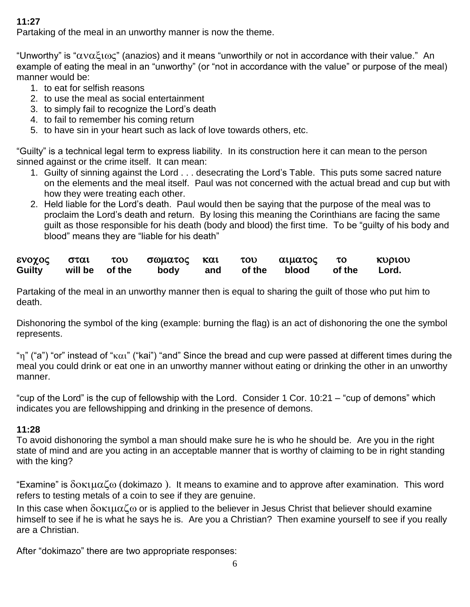#### **11:27**

Partaking of the meal in an unworthy manner is now the theme.

"Unworthy" is " $\alpha$ v $\alpha \xi$  $\alpha$  $\alpha$ " (anazios) and it means "unworthily or not in accordance with their value." An example of eating the meal in an "unworthy" (or "not in accordance with the value" or purpose of the meal) manner would be:

- 1. to eat for selfish reasons
- 2. to use the meal as social entertainment
- 3. to simply fail to recognize the Lord's death
- 4. to fail to remember his coming return
- 5. to have sin in your heart such as lack of love towards others, etc.

"Guilty" is a technical legal term to express liability. In its construction here it can mean to the person sinned against or the crime itself. It can mean:

- 1. Guilty of sinning against the Lord . . . desecrating the Lord's Table. This puts some sacred nature on the elements and the meal itself. Paul was not concerned with the actual bread and cup but with how they were treating each other.
- 2. Held liable for the Lord's death. Paul would then be saying that the purpose of the meal was to proclaim the Lord's death and return. By losing this meaning the Corinthians are facing the same guilt as those responsible for his death (body and blood) the first time. To be "guilty of his body and blood" means they are "liable for his death"

| ενοχος σται           |  | του σωματος και του αιματος το |  |                              | κυριου |
|-----------------------|--|--------------------------------|--|------------------------------|--------|
| Guilty will be of the |  |                                |  | body and of the blood of the | Lord.  |

Partaking of the meal in an unworthy manner then is equal to sharing the guilt of those who put him to death.

Dishonoring the symbol of the king (example: burning the flag) is an act of dishonoring the one the symbol represents.

""" ("a") "or" instead of " $\kappa \alpha i$ " ("kai") "and" Since the bread and cup were passed at different times during the meal you could drink or eat one in an unworthy manner without eating or drinking the other in an unworthy manner.

"cup of the Lord" is the cup of fellowship with the Lord. Consider 1 Cor. 10:21 – "cup of demons" which indicates you are fellowshipping and drinking in the presence of demons.

#### **11:28**

To avoid dishonoring the symbol a man should make sure he is who he should be. Are you in the right state of mind and are you acting in an acceptable manner that is worthy of claiming to be in right standing with the king?

"Examine" is δοκιμαζω (dokimazo). It means to examine and to approve after examination. This word refers to testing metals of a coin to see if they are genuine.

In this case when  $\delta$ o $\kappa$  $\mu$  $\alpha \zeta$  or is applied to the believer in Jesus Christ that believer should examine himself to see if he is what he says he is. Are you a Christian? Then examine yourself to see if you really are a Christian.

After "dokimazo" there are two appropriate responses: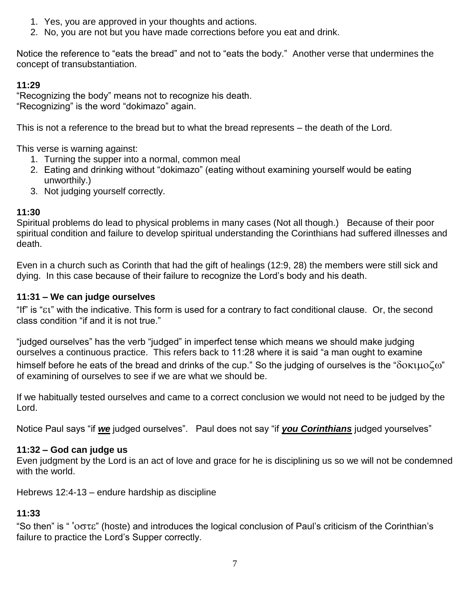- 1. Yes, you are approved in your thoughts and actions.
- 2. No, you are not but you have made corrections before you eat and drink.

Notice the reference to "eats the bread" and not to "eats the body." Another verse that undermines the concept of transubstantiation.

#### **11:29**

"Recognizing the body" means not to recognize his death. "Recognizing" is the word "dokimazo" again.

This is not a reference to the bread but to what the bread represents – the death of the Lord.

This verse is warning against:

- 1. Turning the supper into a normal, common meal
- 2. Eating and drinking without "dokimazo" (eating without examining yourself would be eating unworthily.)
- 3. Not judging yourself correctly.

## **11:30**

Spiritual problems do lead to physical problems in many cases (Not all though.) Because of their poor spiritual condition and failure to develop spiritual understanding the Corinthians had suffered illnesses and death.

Even in a church such as Corinth that had the gift of healings (12:9, 28) the members were still sick and dying. In this case because of their failure to recognize the Lord's body and his death.

## **11:31 – We can judge ourselves**

"If" is " $\epsilon$ t" with the indicative. This form is used for a contrary to fact conditional clause. Or, the second class condition "if and it is not true."

"judged ourselves" has the verb "judged" in imperfect tense which means we should make judging ourselves a continuous practice. This refers back to 11:28 where it is said "a man ought to examine himself before he eats of the bread and drinks of the cup." So the judging of ourselves is the " $\delta$ o $\kappa$  $\mu$ o $\zeta$ o" of examining of ourselves to see if we are what we should be.

If we habitually tested ourselves and came to a correct conclusion we would not need to be judged by the Lord.

Notice Paul says "if *we* judged ourselves". Paul does not say "if *you Corinthians* judged yourselves"

## **11:32 – God can judge us**

Even judgment by the Lord is an act of love and grace for he is disciplining us so we will not be condemned with the world.

Hebrews 12:4-13 – endure hardship as discipline

## **11:33**

"So then" is "  $'$  ' $\sigma\sigma\tau\epsilon$ " (hoste) and introduces the logical conclusion of Paul's criticism of the Corinthian's failure to practice the Lord's Supper correctly.